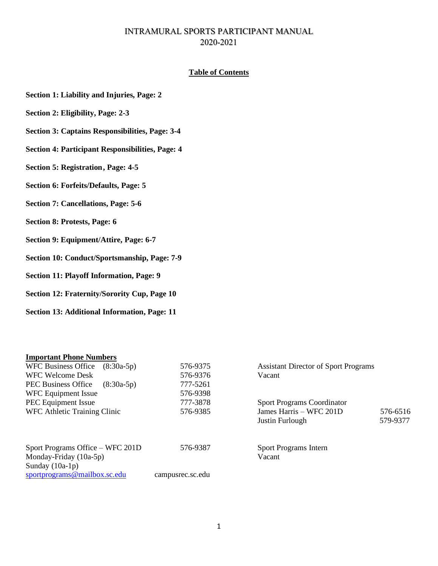# INTRAMURAL SPORTS PARTICIPANT MANUAL 2020-2021

### **Table of Contents**

- **Section 1: Liability and Injuries, Page: 2**
- **Section 2: Eligibility, Page: 2-3**
- **Section 3: Captains Responsibilities, Page: 3-4**
- **Section 4: Participant Responsibilities, Page: 4**
- **Section 5: Registration, Page: 4-5**
- **Section 6: Forfeits/Defaults, Page: 5**
- **Section 7: Cancellations, Page: 5-6**
- **Section 8: Protests, Page: 6**
- **Section 9: Equipment/Attire, Page: 6-7**
- **Section 10: Conduct/Sportsmanship, Page: 7-9**
- **Section 11: Playoff Information, Page: 9**
- **Section 12: Fraternity/Sorority Cup, Page 10**
- **Section 13: Additional Information, Page: 11**

#### **Important Phone Numbers**

| WFC Business Office<br>$(8:30a-5p)$                          | 576-9375         | <b>Assistant Director of Sport Programs</b> |          |
|--------------------------------------------------------------|------------------|---------------------------------------------|----------|
| WFC Welcome Desk                                             | 576-9376         | Vacant                                      |          |
| PEC Business Office<br>$(8:30a-5p)$                          | 777-5261         |                                             |          |
| WFC Equipment Issue                                          | 576-9398         |                                             |          |
| <b>PEC</b> Equipment Issue                                   | 777-3878         | <b>Sport Programs Coordinator</b>           |          |
| WFC Athletic Training Clinic                                 | 576-9385         | James Harris - WFC 201D                     | 576-6516 |
|                                                              |                  | Justin Furlough                             | 579-9377 |
| Sport Programs Office – WFC 201D<br>Monday-Friday $(10a-5p)$ | 576-9387         | <b>Sport Programs Intern</b><br>Vacant      |          |
| Sunday $(10a-1p)$                                            |                  |                                             |          |
| sportprograms@mailbox.sc.edu                                 | campusrec.sc.edu |                                             |          |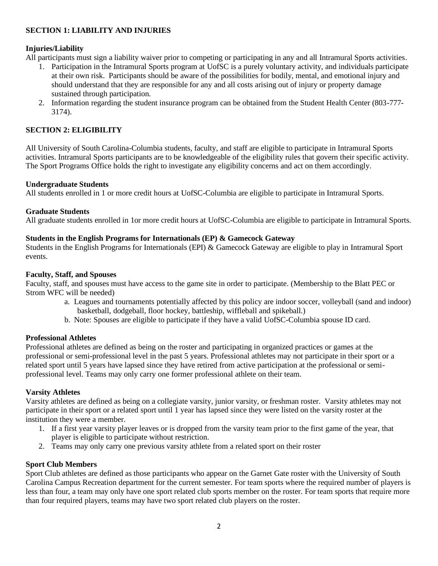### **SECTION 1: LIABILITY AND INJURIES**

### **Injuries/Liability**

All participants must sign a liability waiver prior to competing or participating in any and all Intramural Sports activities.

- 1. Participation in the Intramural Sports program at UofSC is a purely voluntary activity, and individuals participate at their own risk. Participants should be aware of the possibilities for bodily, mental, and emotional injury and should understand that they are responsible for any and all costs arising out of injury or property damage sustained through participation.
- 2. Information regarding the student insurance program can be obtained from the Student Health Center (803-777- 3174).

### **SECTION 2: ELIGIBILITY**

All University of South Carolina-Columbia students, faculty, and staff are eligible to participate in Intramural Sports activities. Intramural Sports participants are to be knowledgeable of the eligibility rules that govern their specific activity. The Sport Programs Office holds the right to investigate any eligibility concerns and act on them accordingly.

#### **Undergraduate Students**

All students enrolled in 1 or more credit hours at UofSC-Columbia are eligible to participate in Intramural Sports.

#### **Graduate Students**

All graduate students enrolled in 1or more credit hours at UofSC-Columbia are eligible to participate in Intramural Sports.

#### **Students in the English Programs for Internationals (EP) & Gamecock Gateway**

Students in the English Programs for Internationals (EPI) & Gamecock Gateway are eligible to play in Intramural Sport events.

#### **Faculty, Staff, and Spouses**

Faculty, staff, and spouses must have access to the game site in order to participate. (Membership to the Blatt PEC or Strom WFC will be needed)

- a. Leagues and tournaments potentially affected by this policy are indoor soccer, volleyball (sand and indoor) basketball, dodgeball, floor hockey, battleship, wiffleball and spikeball.)
- b. Note: Spouses are eligible to participate if they have a valid UofSC-Columbia spouse ID card.

#### **Professional Athletes**

Professional athletes are defined as being on the roster and participating in organized practices or games at the professional or semi-professional level in the past 5 years. Professional athletes may not participate in their sport or a related sport until 5 years have lapsed since they have retired from active participation at the professional or semiprofessional level. Teams may only carry one former professional athlete on their team.

#### **Varsity Athletes**

Varsity athletes are defined as being on a collegiate varsity, junior varsity, or freshman roster. Varsity athletes may not participate in their sport or a related sport until 1 year has lapsed since they were listed on the varsity roster at the institution they were a member.

- 1. If a first year varsity player leaves or is dropped from the varsity team prior to the first game of the year, that player is eligible to participate without restriction.
- 2. Teams may only carry one previous varsity athlete from a related sport on their roster

#### **Sport Club Members**

Sport Club athletes are defined as those participants who appear on the Garnet Gate roster with the University of South Carolina Campus Recreation department for the current semester. For team sports where the required number of players is less than four, a team may only have one sport related club sports member on the roster. For team sports that require more than four required players, teams may have two sport related club players on the roster.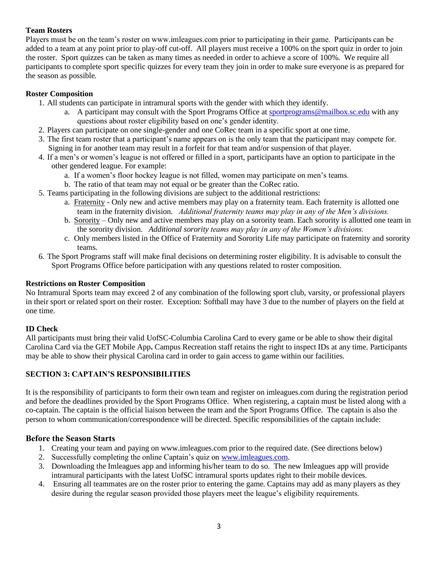# **Team Rosters**

Players must be on the team's roster on www.imleagues.com prior to participating in their game. Participants can be added to a team at any point prior to play-off cut-off. All players must receive a 100% on the sport quiz in order to join the roster. Sport quizzes can be taken as many times as needed in order to achieve a score of 100%. We require all participants to complete sport specific quizzes for every team they join in order to make sure everyone is as prepared for the season as possible.

# **Roster Composition**

- 1. All students can participate in intramural sports with the gender with which they identify.
	- a. A participant may consult with the Sport Programs Office at [sportprograms@mailbox.sc.edu](mailto:sportprograms@mailbox.sc.edu) with any questions about roster eligibility based on one's gender identity.
- 2. Players can participate on one single-gender and one CoRec team in a specific sport at one time.
- 3. The first team roster that a participant's name appears on is the only team that the participant may compete for. Signing in for another team may result in a forfeit for that team and/or suspension of that player.
- 4. If a men's or women's league is not offered or filled in a sport, participants have an option to participate in the other gendered league. For example:
	- a. If a women's floor hockey league is not filled, women may participate on men's teams.
	- b. The ratio of that team may not equal or be greater than the CoRec ratio.
- 5. Teams participating in the following divisions are subject to the additional restrictions:
	- a. Fraternity Only new and active members may play on a fraternity team. Each fraternity is allotted one team in the fraternity division. *Additional fraternity teams may play in any of the Men's divisions.*
	- b. Sorority Only new and active members may play on a sorority team. Each sorority is allotted one team in the sorority division. *Additional sorority teams may play in any of the Women's divisions.*
	- c. Only members listed in the Office of Fraternity and Sorority Life may participate on fraternity and sorority teams.
- 6. The Sport Programs staff will make final decisions on determining roster eligibility. It is advisable to consult the Sport Programs Office before participation with any questions related to roster composition.

### **Restrictions on Roster Composition**

No Intramural Sports team may exceed 2 of any combination of the following sport club, varsity, or professional players in their sport or related sport on their roster. Exception: Softball may have 3 due to the number of players on the field at one time.

# <span id="page-2-0"></span>**[ID Check](#page-2-0)**

All participants must bring their valid UofSC-Columbia Carolina Card to every game or be able to show their digital Carolina Card via the GET Mobile App**.** Campus Recreation staff retains the right to inspect IDs at any time. Participants may be able to show their physical Carolina card in order to gain access to game within our facilities.

# **SECTION 3: CAPTAIN'S RESPONSIBILITIES**

It is the responsibility of participants to form their own team and register on imleagues.com during the registration period and before the deadlines provided by the Sport Programs Office. When registering, a captain must be listed along with a co-captain. The captain is the official liaison between the team and the Sport Programs Office. The captain is also the person to whom communication/correspondence will be directed. Specific responsibilities of the captain include:

# **Before the Season Starts**

- 1. Creating your team and paying on www.imleagues.com prior to the required date. (See directions below)
- 2. Successfully completing the online Captain's quiz on [www.imleagues.com.](http://www.imleagues.com/)
- 3. Downloading the Imleagues app and informing his/her team to do so. The new Imleagues app will provide intramural participants with the latest UofSC intramural sports updates right to their mobile devices.
- 4. Ensuring all teammates are on the roster prior to entering the game. Captains may add as many players as they desire during the regular season provided those players meet the league's eligibility requirements.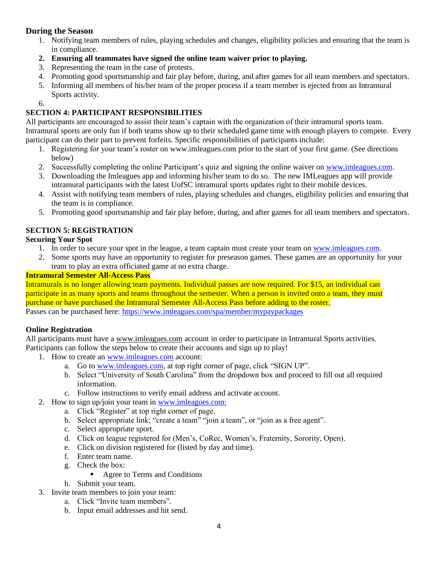# **During the Season**

- 1. Notifying team members of rules, playing schedules and changes, eligibility policies and ensuring that the team is in compliance.
- **2. Ensuring all teammates have signed the online team waiver prior to playing.**
- 3. Representing the team in the case of protests.
- 4. Promoting good sportsmanship and fair play before, during, and after games for all team members and spectators.
- 5. Informing all members of his/her team of the proper process if a team member is ejected from an Intramural Sports activity.

6.

# **SECTION 4: PARTICIPANT RESPONSIBILITIES**

All participants are encouraged to assist their team's captain with the organization of their intramural sports team. Intramural sports are only fun if both teams show up to their scheduled game time with enough players to compete. Every participant can do their part to prevent forfeits. Specific responsibilities of participants include:

- 1. Registering for your team's roster on www.imleagues.com prior to the start of your first game. (See directions below)
- 2. Successfully completing the online Participant's quiz and signing the online waiver o[n www.imleagues.com.](http://www.imleagues.com/)
- 3. Downloading the Imleagues app and informing his/her team to do so. The new IMLeagues app will provide intramural participants with the latest UofSC intramural sports updates right to their mobile devices.
- 4. Assist with notifying team members of rules, playing schedules and changes, eligibility policies and ensuring that the team is in compliance.
- 5. Promoting good sportsmanship and fair play before, during, and after games for all team members and spectators.

# **SECTION 5: REGISTRATION**

# **Securing Your Spot**

- 1. In order to secure your spot in the league, a team captain must create your team on [www.imleagues.com.](http://www.imleagues.com/)
- 2. Some sports may have an opportunity to register for preseason games. These games are an opportunity for your team to play an extra officiated game at no extra charge.

### **Intramural Semester All-Access Pass**

Intramurals is no longer allowing team payments. Individual passes are now required. For \$15, an individual can participate in as many sports and teams throughout the semester. When a person is invited onto a team, they must purchase or have purchased the Intramural Semester All-Access Pass before adding to the roster. Passes can be purchased here:<https://www.imleagues.com/spa/member/mypaypackages>

# **Online Registration**

All participants must have a [www.imleagues.com](http://www.imleagues.com/) account in order to participate in Intramural Sports activities. Participants can follow the steps below to create their accounts and sign up to play!

- 1. How to create an [www.imleagues.com](http://www.imleagues.com/) account:
	- a. Go to [www.imleagues.com,](http://www.imleagues.com/) at top right corner of page, click "SIGN UP".
	- b. Select "University of South Carolina" from the dropdown box and proceed to fill out all required information.
	- c. Follow instructions to verify email address and activate account.
- 2. How to sign up/join your team in [www.imleagues.com:](http://www.imleagues.com/)
	- a. Click "Register" at top right corner of page.
	- b. Select appropriate link; "create a team" "join a team", or "join as a free agent".
	- c. Select appropriate sport.
	- d. Click on league registered for (Men's, CoRec, Women's, Fraternity, Sorority, Open).
	- e. Click on division registered for (listed by day and time).
	- f. Enter team name.
	- g. Check the box:
		- Agree to Terms and Conditions
	- h. Submit your team.
- 3. Invite team members to join your team:
	- a. Click "Invite team members".
	- b. Input email addresses and hit send.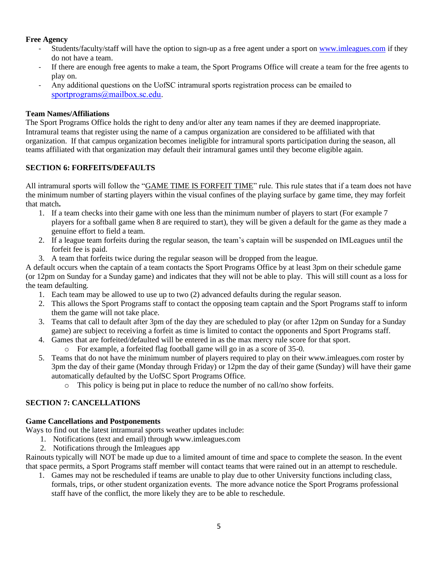### **Free Agency**

- Students/faculty/staff will have the option to sign-up as a free agent under a sport on [www.imleagues.com](http://www.imleagues.com/) if they do not have a team.
- If there are enough free agents to make a team, the Sport Programs Office will create a team for the free agents to play on.
- Any additional questions on the UofSC intramural sports registration process can be emailed to [sportprograms@mailbox.sc.edu.](mailto:sportprograms@mailbox.sc.edu)

### **Team Names/Affiliations**

The Sport Programs Office holds the right to deny and/or alter any team names if they are deemed inappropriate. Intramural teams that register using the name of a campus organization are considered to be affiliated with that organization. If that campus organization becomes ineligible for intramural sports participation during the season, all teams affiliated with that organization may default their intramural games until they become eligible again.

### **SECTION 6: FORFEITS/DEFAULTS**

All intramural sports will follow the "GAME TIME IS FORFEIT TIME" rule. This rule states that if a team does not have the minimum number of starting players within the visual confines of the playing surface by game time, they may forfeit that match**.** 

- 1. If a team checks into their game with one less than the minimum number of players to start (For example 7 players for a softball game when 8 are required to start), they will be given a default for the game as they made a genuine effort to field a team.
- 2. If a league team forfeits during the regular season, the team's captain will be suspended on IMLeagues until the forfeit fee is paid.
- 3. A team that forfeits twice during the regular season will be dropped from the league.

A default occurs when the captain of a team contacts the Sport Programs Office by at least 3pm on their schedule game (or 12pm on Sunday for a Sunday game) and indicates that they will not be able to play. This will still count as a loss for the team defaulting.

- 1. Each team may be allowed to use up to two (2) advanced defaults during the regular season.
- 2. This allows the Sport Programs staff to contact the opposing team captain and the Sport Programs staff to inform them the game will not take place.
- 3. Teams that call to default after 3pm of the day they are scheduled to play (or after 12pm on Sunday for a Sunday game) are subject to receiving a forfeit as time is limited to contact the opponents and Sport Programs staff.
- 4. Games that are forfeited/defaulted will be entered in as the max mercy rule score for that sport.
	- o For example, a forfeited flag football game will go in as a score of 35-0.
- 5. Teams that do not have the minimum number of players required to play on their www.imleagues.com roster by 3pm the day of their game (Monday through Friday) or 12pm the day of their game (Sunday) will have their game automatically defaulted by the UofSC Sport Programs Office.
	- o This policy is being put in place to reduce the number of no call/no show forfeits.

# **SECTION 7: CANCELLATIONS**

#### **Game Cancellations and Postponements**

Ways to find out the latest intramural sports weather updates include:

- 1. Notifications (text and email) through www.imleagues.com
- 2. Notifications through the Imleagues app

Rainouts typically will NOT be made up due to a limited amount of time and space to complete the season. In the event that space permits, a Sport Programs staff member will contact teams that were rained out in an attempt to reschedule.

1. Games may not be rescheduled if teams are unable to play due to other University functions including class, formals, trips, or other student organization events. The more advance notice the Sport Programs professional staff have of the conflict, the more likely they are to be able to reschedule.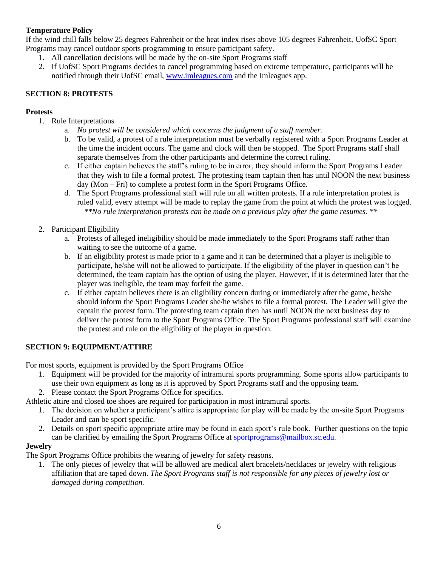# **Temperature Policy**

If the wind chill falls below 25 degrees Fahrenheit or the heat index rises above 105 degrees Fahrenheit, UofSC Sport Programs may cancel outdoor sports programming to ensure participant safety.

- 1. All cancellation decisions will be made by the on-site Sport Programs staff
- 2. If UofSC Sport Programs decides to cancel programming based on extreme temperature, participants will be notified through their UofSC email, [www.imleagues.com](http://www.imleagues.com/) and the Imleagues app.

# **SECTION 8: PROTESTS**

# <span id="page-5-0"></span>**[Protests](#page-5-0)**

- 1. Rule Interpretations
	- a. *No protest will be considered which concerns the judgment of a staff member.*
	- b. To be valid, a protest of a rule interpretation must be verbally registered with a Sport Programs Leader at the time the incident occurs. The game and clock will then be stopped. The Sport Programs staff shall separate themselves from the other participants and determine the correct ruling.
	- c. If either captain believes the staff's ruling to be in error, they should inform the Sport Programs Leader that they wish to file a formal protest. The protesting team captain then has until NOON the next business day (Mon – Fri) to complete a protest form in the Sport Programs Office.
	- d. The Sport Programs professional staff will rule on all written protests. If a rule interpretation protest is ruled valid, every attempt will be made to replay the game from the point at which the protest was logged. *\*\*No rule interpretation protests can be made on a previous play after the game resumes. \*\**
- 2. Participant Eligibility
	- a. Protests of alleged ineligibility should be made immediately to the Sport Programs staff rather than waiting to see the outcome of a game.
	- b. If an eligibility protest is made prior to a game and it can be determined that a player is ineligible to participate, he/she will not be allowed to participate. If the eligibility of the player in question can't be determined, the team captain has the option of using the player. However, if it is determined later that the player was ineligible, the team may forfeit the game.
	- c. If either captain believes there is an eligibility concern during or immediately after the game, he/she should inform the Sport Programs Leader she/he wishes to file a formal protest. The Leader will give the captain the protest form. The protesting team captain then has until NOON the next business day to deliver the protest form to the Sport Programs Office. The Sport Programs professional staff will examine the protest and rule on the eligibility of the player in question.

#### **SECTION 9: EQUIPMENT/ATTIRE**

For most sports, equipment is provided by the Sport Programs Office

- 1. Equipment will be provided for the majority of intramural sports programming. Some sports allow participants to use their own equipment as long as it is approved by Sport Programs staff and the opposing team.
- 2. Please contact the Sport Programs Office for specifics.

Athletic attire and closed toe shoes are required for participation in most intramural sports.

- 1. The decision on whether a participant's attire is appropriate for play will be made by the on-site Sport Programs Leader and can be sport specific.
- 2. Details on sport specific appropriate attire may be found in each sport's rule book. Further questions on the topic can be clarified by emailing the Sport Programs Office at [sportprograms@mailbox.sc.edu.](mailto:sportprograms@mailbox.sc.edu)

# **Jewelry**

The Sport Programs Office prohibits the wearing of jewelry for safety reasons.

1. The only pieces of jewelry that will be allowed are medical alert bracelets/necklaces or jewelry with religious affiliation that are taped down. *The Sport Programs staff is not responsible for any pieces of jewelry lost or damaged during competition.*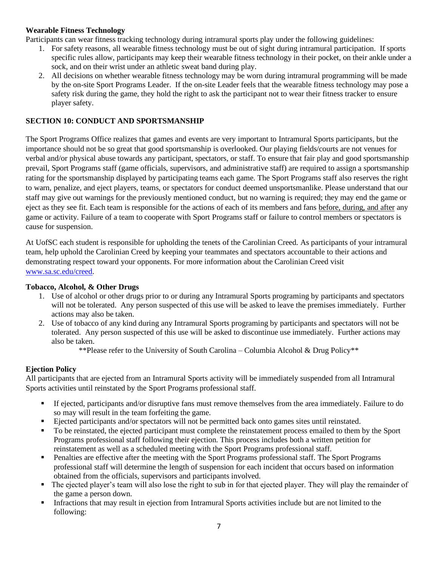### **Wearable Fitness Technology**

Participants can wear fitness tracking technology during intramural sports play under the following guidelines:

- 1. For safety reasons, all wearable fitness technology must be out of sight during intramural participation. If sports specific rules allow, participants may keep their wearable fitness technology in their pocket, on their ankle under a sock, and on their wrist under an athletic sweat band during play.
- 2. All decisions on whether wearable fitness technology may be worn during intramural programming will be made by the on-site Sport Programs Leader. If the on-site Leader feels that the wearable fitness technology may pose a safety risk during the game, they hold the right to ask the participant not to wear their fitness tracker to ensure player safety.

### **SECTION 10: CONDUCT AND SPORTSMANSHIP**

The Sport Programs Office realizes that games and events are very important to Intramural Sports participants, but the importance should not be so great that good sportsmanship is overlooked. Our playing fields/courts are not venues for verbal and/or physical abuse towards any participant, spectators, or staff. To ensure that fair play and good sportsmanship prevail, Sport Programs staff (game officials, supervisors, and administrative staff) are required to assign a sportsmanship rating for the sportsmanship displayed by participating teams each game. The Sport Programs staff also reserves the right to warn, penalize, and eject players, teams, or spectators for conduct deemed unsportsmanlike. Please understand that our staff may give out warnings for the previously mentioned conduct, but no warning is required; they may end the game or eject as they see fit. Each team is responsible for the actions of each of its members and fans before, during, and after any game or activity. Failure of a team to cooperate with Sport Programs staff or failure to control members or spectators is cause for suspension.

At UofSC each student is responsible for upholding the tenets of the Carolinian Creed. As participants of your intramural team, help uphold the Carolinian Creed by keeping your teammates and spectators accountable to their actions and demonstrating respect toward your opponents. For more information about the Carolinian Creed visit [www.sa.sc.edu/creed.](http://www.sa.sc.edu/creed)

#### <span id="page-6-0"></span>**[Tobacco, Alcohol, & Other Drugs](#page-6-0)**

- 1. Use of alcohol or other drugs prior to or during any Intramural Sports programing by participants and spectators will not be tolerated. Any person suspected of this use will be asked to leave the premises immediately. Further actions may also be taken.
- 2. Use of tobacco of any kind during any Intramural Sports programing by participants and spectators will not be tolerated. Any person suspected of this use will be asked to discontinue use immediately. Further actions may also be taken.

\*\*Please refer to the University of South Carolina – Columbia Alcohol & Drug Policy\*\*

# <span id="page-6-1"></span>**[Ejection Policy](#page-6-1)**

All participants that are ejected from an Intramural Sports activity will be immediately suspended from all Intramural Sports activities until reinstated by the Sport Programs professional staff.

- If ejected, participants and/or disruptive fans must remove themselves from the area immediately. Failure to do so may will result in the team forfeiting the game.
- Ejected participants and/or spectators will not be permitted back onto games sites until reinstated.
- To be reinstated, the ejected participant must complete the reinstatement process emailed to them by the Sport Programs professional staff following their ejection. This process includes both a written petition for reinstatement as well as a scheduled meeting with the Sport Programs professional staff.
- **•** Penalties are effective after the meeting with the Sport Programs professional staff. The Sport Programs professional staff will determine the length of suspension for each incident that occurs based on information obtained from the officials, supervisors and participants involved.
- The ejected player's team will also lose the right to sub in for that ejected player. They will play the remainder of the game a person down.
- **Infractions that may result in ejection from Intramural Sports activities include but are not limited to the** following: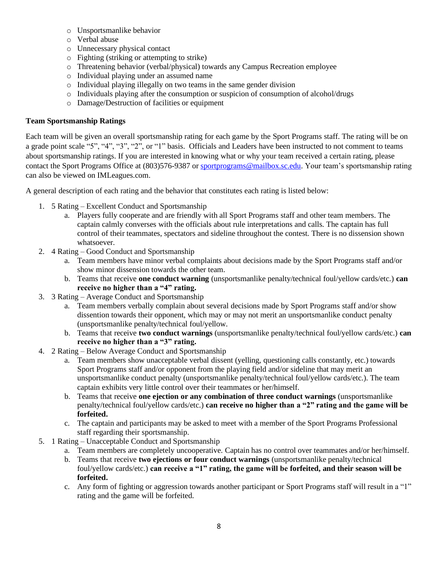- o Unsportsmanlike behavior
- o Verbal abuse
- o Unnecessary physical contact
- o Fighting (striking or attempting to strike)
- o Threatening behavior (verbal/physical) towards any Campus Recreation employee
- o Individual playing under an assumed name
- o Individual playing illegally on two teams in the same gender division
- o Individuals playing after the consumption or suspicion of consumption of alcohol/drugs
- o Damage/Destruction of facilities or equipment

### <span id="page-7-0"></span>**[Team Sportsmanship Ratings](#page-7-0)**

Each team will be given an overall sportsmanship rating for each game by the Sport Programs staff. The rating will be on a grade point scale "5", "4", "3", "2", or "1" basis. Officials and Leaders have been instructed to not comment to teams about sportsmanship ratings. If you are interested in knowing what or why your team received a certain rating, please contact the Sport Programs Office at (803)576-9387 or [sportprograms@mailbox.sc.edu.](mailto:sportprograms@mailbox.sc.edu) Your team's sportsmanship rating can also be viewed on IMLeagues.com.

A general description of each rating and the behavior that constitutes each rating is listed below:

- 1. 5 Rating Excellent Conduct and Sportsmanship
	- a. Players fully cooperate and are friendly with all Sport Programs staff and other team members. The captain calmly converses with the officials about rule interpretations and calls. The captain has full control of their teammates, spectators and sideline throughout the contest. There is no dissension shown whatsoever.
- 2. 4 Rating Good Conduct and Sportsmanship
	- a. Team members have minor verbal complaints about decisions made by the Sport Programs staff and/or show minor dissension towards the other team.
	- b. Teams that receive **one conduct warning** (unsportsmanlike penalty/technical foul/yellow cards/etc.) **can receive no higher than a "4" rating.**
- 3. 3 Rating Average Conduct and Sportsmanship
	- a. Team members verbally complain about several decisions made by Sport Programs staff and/or show dissention towards their opponent, which may or may not merit an unsportsmanlike conduct penalty (unsportsmanlike penalty/technical foul/yellow.
	- b. Teams that receive **two conduct warnings** (unsportsmanlike penalty/technical foul/yellow cards/etc.) **can receive no higher than a "3" rating.**
- 4. 2 Rating Below Average Conduct and Sportsmanship
	- a. Team members show unacceptable verbal dissent (yelling, questioning calls constantly, etc.) towards Sport Programs staff and/or opponent from the playing field and/or sideline that may merit an unsportsmanlike conduct penalty (unsportsmanlike penalty/technical foul/yellow cards/etc.). The team captain exhibits very little control over their teammates or her/himself.
	- b. Teams that receive **one ejection or any combination of three conduct warnings** (unsportsmanlike penalty/technical foul/yellow cards/etc.) **can receive no higher than a "2" rating and the game will be forfeited.**
	- c. The captain and participants may be asked to meet with a member of the Sport Programs Professional staff regarding their sportsmanship.
- 5. 1 Rating Unacceptable Conduct and Sportsmanship
	- a. Team members are completely uncooperative. Captain has no control over teammates and/or her/himself.
	- b. Teams that receive **two ejections or four conduct warnings** (unsportsmanlike penalty/technical foul/yellow cards/etc.) **can receive a "1" rating, the game will be forfeited, and their season will be forfeited.**
	- c. Any form of fighting or aggression towards another participant or Sport Programs staff will result in a "1" rating and the game will be forfeited.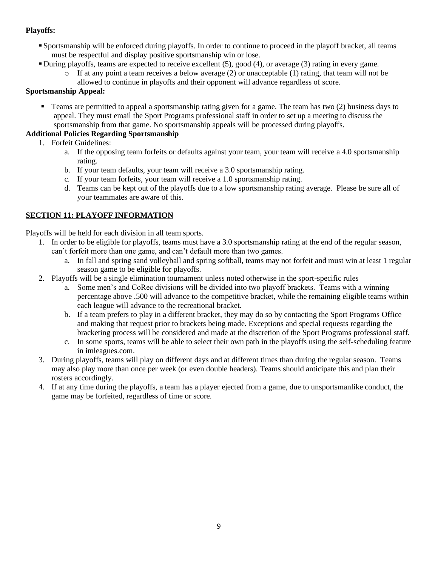## **Playoffs:**

- Sportsmanship will be enforced during playoffs. In order to continue to proceed in the playoff bracket, all teams must be respectful and display positive sportsmanship win or lose.
- During playoffs, teams are expected to receive excellent (5), good (4), or average (3) rating in every game.
	- $\circ$  If at any point a team receives a below average (2) or unacceptable (1) rating, that team will not be allowed to continue in playoffs and their opponent will advance regardless of score.

### **Sportsmanship Appeal:**

**•** Teams are permitted to appeal a sportsmanship rating given for a game. The team has two (2) business days to appeal. They must email the Sport Programs professional staff in order to set up a meeting to discuss the sportsmanship from that game. No sportsmanship appeals will be processed during playoffs.

## <span id="page-8-0"></span>**[Additional Policies Regarding Sportsmanship](#page-8-0)**

- 1. Forfeit Guidelines:
	- a. If the opposing team forfeits or defaults against your team, your team will receive a 4.0 sportsmanship rating.
	- b. If your team defaults, your team will receive a 3.0 sportsmanship rating.
	- c. If your team forfeits, your team will receive a 1.0 sportsmanship rating.
	- d. Teams can be kept out of the playoffs due to a low sportsmanship rating average. Please be sure all of your teammates are aware of this.

# **SECTION 11: PLAYOFF INFORMATION**

Playoffs will be held for each division in all team sports.

- 1. In order to be eligible for playoffs, teams must have a 3.0 sportsmanship rating at the end of the regular season, can't forfeit more than one game, and can't default more than two games.
	- a. In fall and spring sand volleyball and spring softball, teams may not forfeit and must win at least 1 regular season game to be eligible for playoffs.
- 2. Playoffs will be a single elimination tournament unless noted otherwise in the sport-specific rules
	- a. Some men's and CoRec divisions will be divided into two playoff brackets. Teams with a winning percentage above .500 will advance to the competitive bracket, while the remaining eligible teams within each league will advance to the recreational bracket.
	- b. If a team prefers to play in a different bracket, they may do so by contacting the Sport Programs Office and making that request prior to brackets being made. Exceptions and special requests regarding the bracketing process will be considered and made at the discretion of the Sport Programs professional staff.
	- c. In some sports, teams will be able to select their own path in the playoffs using the self-scheduling feature in imleagues.com.
- 3. During playoffs, teams will play on different days and at different times than during the regular season. Teams may also play more than once per week (or even double headers). Teams should anticipate this and plan their rosters accordingly.
- <span id="page-8-1"></span>4. If at any time during the playoffs, a team has a player ejected from a game, due to unsportsmanlike conduct, the game may be forfeited, regardless of time or score.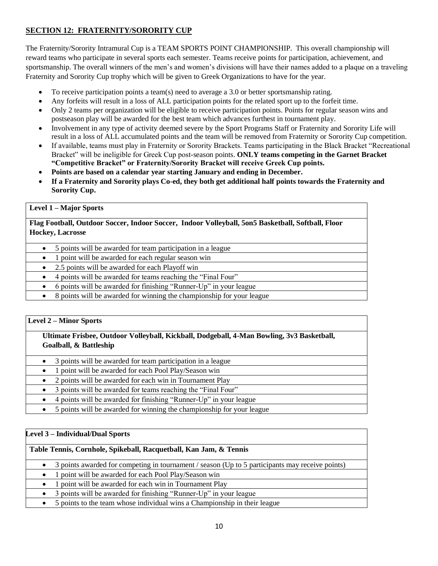# **SECTION 12: FRATERNITY/SORORITY CUP**

The Fraternity/Sorority Intramural Cup is a TEAM SPORTS POINT CHAMPIONSHIP. This overall championship will reward teams who participate in several sports each semester. Teams receive points for participation, achievement, and sportsmanship. The overall winners of the men's and women's divisions will have their names added to a plaque on a traveling Fraternity and Sorority Cup trophy which will be given to Greek Organizations to have for the year.

- To receive participation points a team(s) need to average a 3.0 or better sportsmanship rating.
- Any forfeits will result in a loss of ALL participation points for the related sport up to the forfeit time.
- Only 2 teams per organization will be eligible to receive participation points. Points for regular season wins and postseason play will be awarded for the best team which advances furthest in tournament play.
- Involvement in any type of activity deemed severe by the Sport Programs Staff or Fraternity and Sorority Life will result in a loss of ALL accumulated points and the team will be removed from Fraternity or Sorority Cup competition.
- If available, teams must play in Fraternity or Sorority Brackets. Teams participating in the Black Bracket "Recreational Bracket" will be ineligible for Greek Cup post-season points. **ONLY teams competing in the Garnet Bracket "Competitive Bracket" or Fraternity/Sorority Bracket will receive Greek Cup points.**
- **Points are based on a calendar year starting January and ending in December.**
- **If a Fraternity and Sorority plays Co-ed, they both get additional half points towards the Fraternity and Sorority Cup.**

#### **Level 1 – Major Sports**

**Flag Football, Outdoor Soccer, Indoor Soccer, Indoor Volleyball, 5on5 Basketball, Softball, Floor Hockey, Lacrosse**

- 5 points will be awarded for team participation in a league
- 1 point will be awarded for each regular season win
- 2.5 points will be awarded for each Playoff win
- 4 points will be awarded for teams reaching the "Final Four"
- 6 points will be awarded for finishing "Runner-Up" in your league
- 8 points will be awarded for winning the championship for your league

#### **Level 2 – Minor Sports**

### **Ultimate Frisbee, Outdoor Volleyball, Kickball, Dodgeball, 4-Man Bowling, 3v3 Basketball, Goalball, & Battleship**

- 3 points will be awarded for team participation in a league
- 1 point will be awarded for each Pool Play/Season win
- 2 points will be awarded for each win in Tournament Play
- 3 points will be awarded for teams reaching the "Final Four"
- 4 points will be awarded for finishing "Runner-Up" in your league
- 5 points will be awarded for winning the championship for your league

### **Level 3 – Individual/Dual Sports**

### **Table Tennis, Cornhole, Spikeball, Racquetball, Kan Jam, & Tennis**

- 3 points awarded for competing in tournament / season (Up to 5 participants may receive points)
- 1 point will be awarded for each Pool Play/Season win
- 1 point will be awarded for each win in Tournament Play
- 3 points will be awarded for finishing "Runner-Up" in your league
- 5 points to the team whose individual wins a Championship in their league